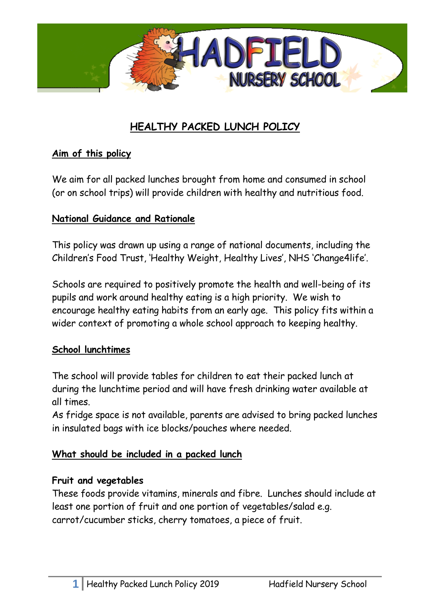

# **HEALTHY PACKED LUNCH POLICY**

#### **Aim of this policy**

We aim for all packed lunches brought from home and consumed in school (or on school trips) will provide children with healthy and nutritious food.

#### **National Guidance and Rationale**

This policy was drawn up using a range of national documents, including the Children's Food Trust, 'Healthy Weight, Healthy Lives', NHS 'Change4life'.

Schools are required to positively promote the health and well-being of its pupils and work around healthy eating is a high priority. We wish to encourage healthy eating habits from an early age. This policy fits within a wider context of promoting a whole school approach to keeping healthy.

#### **School lunchtimes**

The school will provide tables for children to eat their packed lunch at during the lunchtime period and will have fresh drinking water available at all times.

As fridge space is not available, parents are advised to bring packed lunches in insulated bags with ice blocks/pouches where needed.

#### **What should be included in a packed lunch**

#### **Fruit and vegetables**

These foods provide vitamins, minerals and fibre. Lunches should include at least one portion of fruit and one portion of vegetables/salad e.g. carrot/cucumber sticks, cherry tomatoes, a piece of fruit.